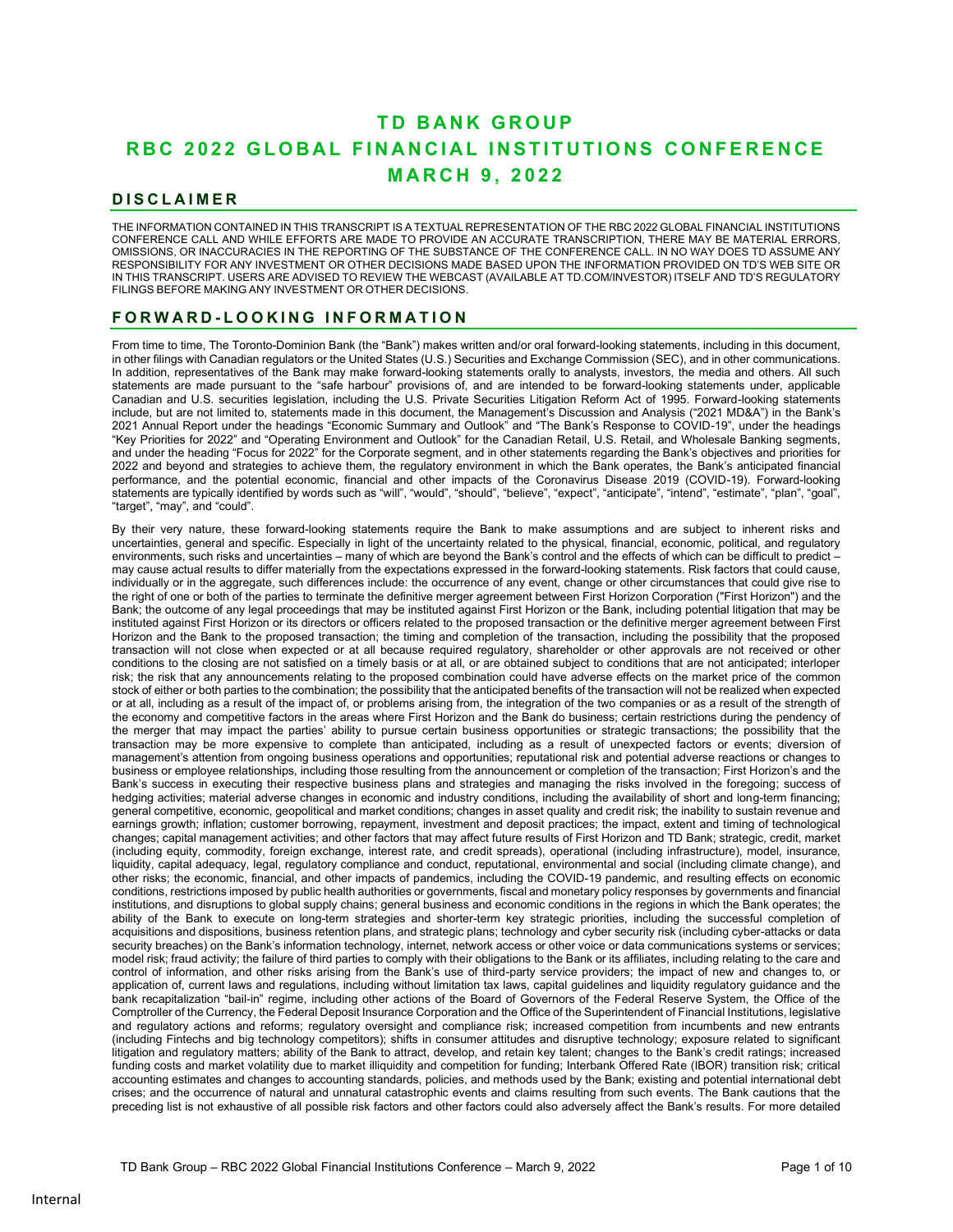# **T D B A N K G R O U P** RBC 2022 GLOBAL FINANCIAL INSTITUTIONS CONFERENCE  **M A R C H 9 , 2 0 2 2**

# **D I S C L A I M E R**

THE INFORMATION CONTAINED IN THIS TRANSCRIPT IS A TEXTUAL REPRESENTATION OF THE RBC 2022 GLOBAL FINANCIAL INSTITUTIONS CONFERENCE CALL AND WHILE EFFORTS ARE MADE TO PROVIDE AN ACCURATE TRANSCRIPTION, THERE MAY BE MATERIAL ERRORS, OMISSIONS, OR INACCURACIES IN THE REPORTING OF THE SUBSTANCE OF THE CONFERENCE CALL. IN NO WAY DOES TD ASSUME ANY RESPONSIBILITY FOR ANY INVESTMENT OR OTHER DECISIONS MADE BASED UPON THE INFORMATION PROVIDED ON TD'S WEB SITE OR IN THIS TRANSCRIPT. USERS ARE ADVISED TO REVIEW THE WEBCAST (AVAILABLE AT TD.COM/INVESTOR) ITSELF AND TD'S REGULATORY FILINGS BEFORE MAKING ANY INVESTMENT OR OTHER DECISIONS.

# FORWARD-LOOKING INFORMATION

From time to time, The Toronto-Dominion Bank (the "Bank") makes written and/or oral forward-looking statements, including in this document, in other filings with Canadian regulators or the United States (U.S.) Securities and Exchange Commission (SEC), and in other communications. In addition, representatives of the Bank may make forward-looking statements orally to analysts, investors, the media and others. All such statements are made pursuant to the "safe harbour" provisions of, and are intended to be forward-looking statements under, applicable Canadian and U.S. securities legislation, including the U.S. Private Securities Litigation Reform Act of 1995. Forward-looking statements include, but are not limited to, statements made in this document, the Management's Discussion and Analysis ("2021 MD&A") in the Bank's 2021 Annual Report under the headings "Economic Summary and Outlook" and "The Bank's Response to COVID-19", under the headings "Key Priorities for 2022" and "Operating Environment and Outlook" for the Canadian Retail, U.S. Retail, and Wholesale Banking segments, and under the heading "Focus for 2022" for the Corporate segment, and in other statements regarding the Bank's objectives and priorities for 2022 and beyond and strategies to achieve them, the regulatory environment in which the Bank operates, the Bank's anticipated financial performance, and the potential economic, financial and other impacts of the Coronavirus Disease 2019 (COVID-19). Forward-looking statements are typically identified by words such as "will", "would", "should", "believe", "expect", "anticipate", "intend", "estimate", "plan", "goal", "target", "may", and "could".

By their very nature, these forward-looking statements require the Bank to make assumptions and are subject to inherent risks and uncertainties, general and specific. Especially in light of the uncertainty related to the physical, financial, economic, political, and regulatory environments, such risks and uncertainties – many of which are beyond the Bank's control and the effects of which can be difficult to predict – may cause actual results to differ materially from the expectations expressed in the forward-looking statements. Risk factors that could cause, individually or in the aggregate, such differences include: the occurrence of any event, change or other circumstances that could give rise to the right of one or both of the parties to terminate the definitive merger agreement between First Horizon Corporation ("First Horizon") and the Bank; the outcome of any legal proceedings that may be instituted against First Horizon or the Bank, including potential litigation that may be instituted against First Horizon or its directors or officers related to the proposed transaction or the definitive merger agreement between First Horizon and the Bank to the proposed transaction; the timing and completion of the transaction, including the possibility that the proposed transaction will not close when expected or at all because required regulatory, shareholder or other approvals are not received or other conditions to the closing are not satisfied on a timely basis or at all, or are obtained subject to conditions that are not anticipated; interloper risk; the risk that any announcements relating to the proposed combination could have adverse effects on the market price of the common stock of either or both parties to the combination; the possibility that the anticipated benefits of the transaction will not be realized when expected or at all, including as a result of the impact of, or problems arising from, the integration of the two companies or as a result of the strength of the economy and competitive factors in the areas where First Horizon and the Bank do business; certain restrictions during the pendency of the merger that may impact the parties' ability to pursue certain business opportunities or strategic transactions; the possibility that the transaction may be more expensive to complete than anticipated, including as a result of unexpected factors or events; diversion of management's attention from ongoing business operations and opportunities; reputational risk and potential adverse reactions or changes to business or employee relationships, including those resulting from the announcement or completion of the transaction; First Horizon's and the Bank's success in executing their respective business plans and strategies and managing the risks involved in the foregoing; success of hedging activities; material adverse changes in economic and industry conditions, including the availability of short and long-term financing; general competitive, economic, geopolitical and market conditions; changes in asset quality and credit risk; the inability to sustain revenue and earnings growth; inflation; customer borrowing, repayment, investment and deposit practices; the impact, extent and timing of technological changes; capital management activities; and other factors that may affect future results of First Horizon and TD Bank; strategic, credit, market (including equity, commodity, foreign exchange, interest rate, and credit spreads), operational (including infrastructure), model, insurance, liquidity, capital adequacy, legal, regulatory compliance and conduct, reputational, environmental and social (including climate change), and other risks; the economic, financial, and other impacts of pandemics, including the COVID-19 pandemic, and resulting effects on economic conditions, restrictions imposed by public health authorities or governments, fiscal and monetary policy responses by governments and financial institutions, and disruptions to global supply chains; general business and economic conditions in the regions in which the Bank operates; the ability of the Bank to execute on long-term strategies and shorter-term key strategic priorities, including the successful completion of acquisitions and dispositions, business retention plans, and strategic plans; technology and cyber security risk (including cyber-attacks or data security breaches) on the Bank's information technology, internet, network access or other voice or data communications systems or services; model risk; fraud activity; the failure of third parties to comply with their obligations to the Bank or its affiliates, including relating to the care and control of information, and other risks arising from the Bank's use of third-party service providers; the impact of new and changes to, or application of, current laws and regulations, including without limitation tax laws, capital guidelines and liquidity regulatory guidance and the bank recapitalization "bail-in" regime, including other actions of the Board of Governors of the Federal Reserve System, the Office of the Comptroller of the Currency, the Federal Deposit Insurance Corporation and the Office of the Superintendent of Financial Institutions, legislative and regulatory actions and reforms; regulatory oversight and compliance risk; increased competition from incumbents and new entrants (including Fintechs and big technology competitors); shifts in consumer attitudes and disruptive technology; exposure related to significant litigation and regulatory matters; ability of the Bank to attract, develop, and retain key talent; changes to the Bank's credit ratings; increased funding costs and market volatility due to market illiquidity and competition for funding; Interbank Offered Rate (IBOR) transition risk; critical accounting estimates and changes to accounting standards, policies, and methods used by the Bank; existing and potential international debt crises; and the occurrence of natural and unnatural catastrophic events and claims resulting from such events. The Bank cautions that the preceding list is not exhaustive of all possible risk factors and other factors could also adversely affect the Bank's results. For more detailed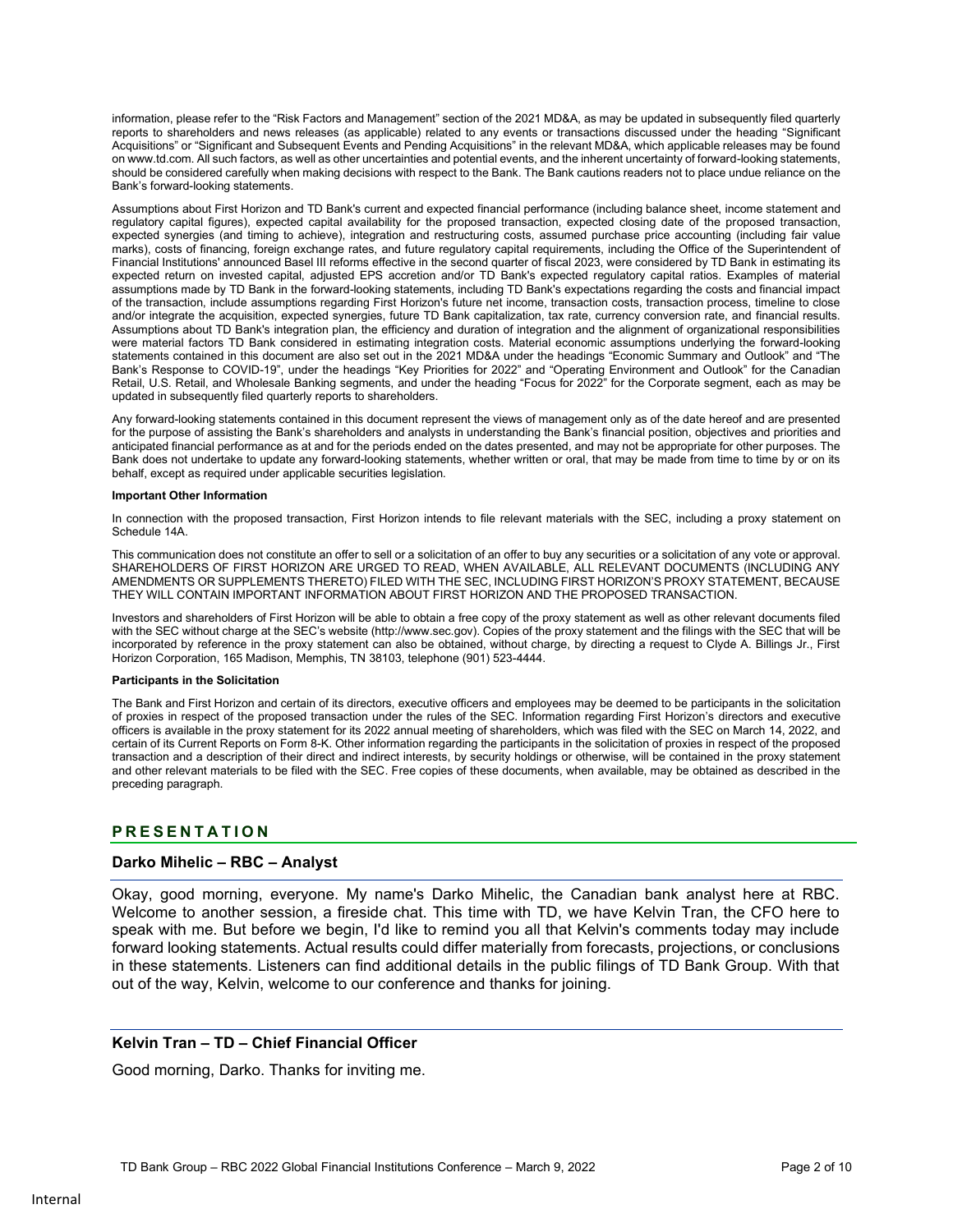information, please refer to the "Risk Factors and Management" section of the 2021 MD&A, as may be updated in subsequently filed quarterly reports to shareholders and news releases (as applicable) related to any events or transactions discussed under the heading "Significant Acquisitions" or "Significant and Subsequent Events and Pending Acquisitions" in the relevant MD&A, which applicable releases may be found on www.td.com. All such factors, as well as other uncertainties and potential events, and the inherent uncertainty of forward-looking statements, should be considered carefully when making decisions with respect to the Bank. The Bank cautions readers not to place undue reliance on the Bank's forward-looking statements.

Assumptions about First Horizon and TD Bank's current and expected financial performance (including balance sheet, income statement and regulatory capital figures), expected capital availability for the proposed transaction, expected closing date of the proposed transaction, expected synergies (and timing to achieve), integration and restructuring costs, assumed purchase price accounting (including fair value marks), costs of financing, foreign exchange rates, and future regulatory capital requirements, including the Office of the Superintendent of Financial Institutions' announced Basel III reforms effective in the second quarter of fiscal 2023, were considered by TD Bank in estimating its expected return on invested capital, adjusted EPS accretion and/or TD Bank's expected regulatory capital ratios. Examples of material assumptions made by TD Bank in the forward-looking statements, including TD Bank's expectations regarding the costs and financial impact of the transaction, include assumptions regarding First Horizon's future net income, transaction costs, transaction process, timeline to close and/or integrate the acquisition, expected synergies, future TD Bank capitalization, tax rate, currency conversion rate, and financial results. Assumptions about TD Bank's integration plan, the efficiency and duration of integration and the alignment of organizational responsibilities were material factors TD Bank considered in estimating integration costs. Material economic assumptions underlying the forward-looking statements contained in this document are also set out in the 2021 MD&A under the headings "Economic Summary and Outlook" and "The Bank's Response to COVID-19", under the headings "Key Priorities for 2022" and "Operating Environment and Outlook" for the Canadian Retail, U.S. Retail, and Wholesale Banking segments, and under the heading "Focus for 2022" for the Corporate segment, each as may be updated in subsequently filed quarterly reports to shareholders.

Any forward-looking statements contained in this document represent the views of management only as of the date hereof and are presented for the purpose of assisting the Bank's shareholders and analysts in understanding the Bank's financial position, objectives and priorities and anticipated financial performance as at and for the periods ended on the dates presented, and may not be appropriate for other purposes. The Bank does not undertake to update any forward-looking statements, whether written or oral, that may be made from time to time by or on its behalf, except as required under applicable securities legislation.

#### **Important Other Information**

In connection with the proposed transaction, First Horizon intends to file relevant materials with the SEC, including a proxy statement on Schedule 14A.

 THEY WILL CONTAIN IMPORTANT INFORMATION ABOUT FIRST HORIZON AND THE PROPOSED TRANSACTION. This communication does not constitute an offer to sell or a solicitation of an offer to buy any securities or a solicitation of any vote or approval. SHAREHOLDERS OF FIRST HORIZON ARE URGED TO READ, WHEN AVAILABLE, ALL RELEVANT DOCUMENTS (INCLUDING ANY AMENDMENTS OR SUPPLEMENTS THERETO) FILED WITH THE SEC, INCLUDING FIRST HORIZON'S PROXY STATEMENT, BECAUSE

Investors and shareholders of First Horizon will be able to obtain a free copy of the proxy statement as well as other relevant documents filed with the SEC without charge at the SEC's website (http://www.sec.gov). Copies of the proxy statement and the filings with the SEC that will be incorporated by reference in the proxy statement can also be obtained, without charge, by directing a request to Clyde A. Billings Jr., First Horizon Corporation, 165 Madison, Memphis, TN 38103, telephone (901) 523-4444.

#### **Participants in the Solicitation**

The Bank and First Horizon and certain of its directors, executive officers and employees may be deemed to be participants in the solicitation of proxies in respect of the proposed transaction under the rules of the SEC. Information regarding First Horizon's directors and executive officers is available in the proxy statement for its 2022 annual meeting of shareholders, which was filed with the SEC on March 14, 2022, and certain of its Current Reports on Form 8-K. Other information regarding the participants in the solicitation of proxies in respect of the proposed transaction and a description of their direct and indirect interests, by security holdings or otherwise, will be contained in the proxy statement and other relevant materials to be filed with the SEC. Free copies of these documents, when available, may be obtained as described in the preceding paragraph.

# **P R E S E N T A T I O N**

#### **Darko Mihelic – RBC – Analyst**

Okay, good morning, everyone. My name's Darko Mihelic, the Canadian bank analyst here at RBC. Welcome to another session, a fireside chat. This time with TD, we have Kelvin Tran, the CFO here to speak with me. But before we begin, I'd like to remind you all that Kelvin's comments today may include forward looking statements. Actual results could differ materially from forecasts, projections, or conclusions in these statements. Listeners can find additional details in the public filings of TD Bank Group. With that out of the way, Kelvin, welcome to our conference and thanks for joining.

#### **Kelvin Tran – TD – Chief Financial Officer**

. Good morning, Darko. Thanks for inviting me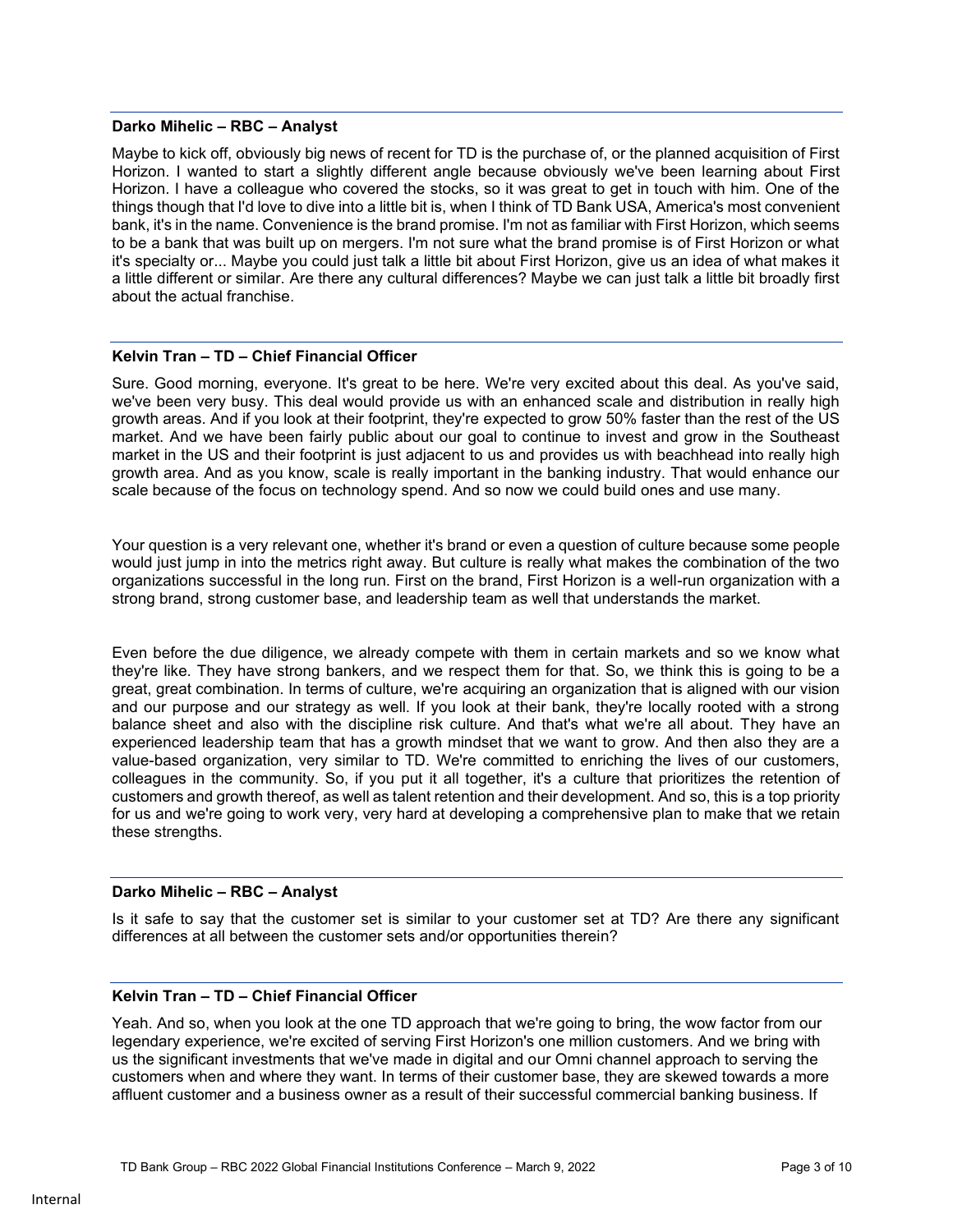#### **Darko Mihelic – RBC – Analyst**

Maybe to kick off, obviously big news of recent for TD is the purchase of, or the planned acquisition of First Horizon. I wanted to start a slightly different angle because obviously we've been learning about First Horizon. I have a colleague who covered the stocks, so it was great to get in touch with him. One of the things though that I'd love to dive into a little bit is, when I think of TD Bank USA, America's most convenient bank, it's in the name. Convenience is the brand promise. I'm not as familiar with First Horizon, which seems to be a bank that was built up on mergers. I'm not sure what the brand promise is of First Horizon or what it's specialty or... Maybe you could just talk a little bit about First Horizon, give us an idea of what makes it a little different or similar. Are there any cultural differences? Maybe we can just talk a little bit broadly first about the actual franchise.

#### **Kelvin Tran – TD – Chief Financial Officer**

Sure. Good morning, everyone. It's great to be here. We're very excited about this deal. As you've said, we've been very busy. This deal would provide us with an enhanced scale and distribution in really high growth areas. And if you look at their footprint, they're expected to grow 50% faster than the rest of the US market. And we have been fairly public about our goal to continue to invest and grow in the Southeast market in the US and their footprint is just adjacent to us and provides us with beachhead into really high growth area. And as you know, scale is really important in the banking industry. That would enhance our scale because of the focus on technology spend. And so now we could build ones and use many.

Your question is a very relevant one, whether it's brand or even a question of culture because some people would just jump in into the metrics right away. But culture is really what makes the combination of the two organizations successful in the long run. First on the brand, First Horizon is a well-run organization with a strong brand, strong customer base, and leadership team as well that understands the market.

Even before the due diligence, we already compete with them in certain markets and so we know what they're like. They have strong bankers, and we respect them for that. So, we think this is going to be a great, great combination. In terms of culture, we're acquiring an organization that is aligned with our vision and our purpose and our strategy as well. If you look at their bank, they're locally rooted with a strong balance sheet and also with the discipline risk culture. And that's what we're all about. They have an experienced leadership team that has a growth mindset that we want to grow. And then also they are a value-based organization, very similar to TD. We're committed to enriching the lives of our customers, colleagues in the community. So, if you put it all together, it's a culture that prioritizes the retention of customers and growth thereof, as well as talent retention and their development. And so, this is a top priority for us and we're going to work very, very hard at developing a comprehensive plan to make that we retain these strengths.

#### **Darko Mihelic – RBC – Analyst**

Is it safe to say that the customer set is similar to your customer set at TD? Are there any significant differences at all between the customer sets and/or opportunities therein?

### **Kelvin Tran – TD – Chief Financial Officer**

Yeah. And so, when you look at the one TD approach that we're going to bring, the wow factor from our legendary experience, we're excited of serving First Horizon's one million customers. And we bring with us the significant investments that we've made in digital and our Omni channel approach to serving the customers when and where they want. In terms of their customer base, they are skewed towards a more affluent customer and a business owner as a result of their successful commercial banking business. If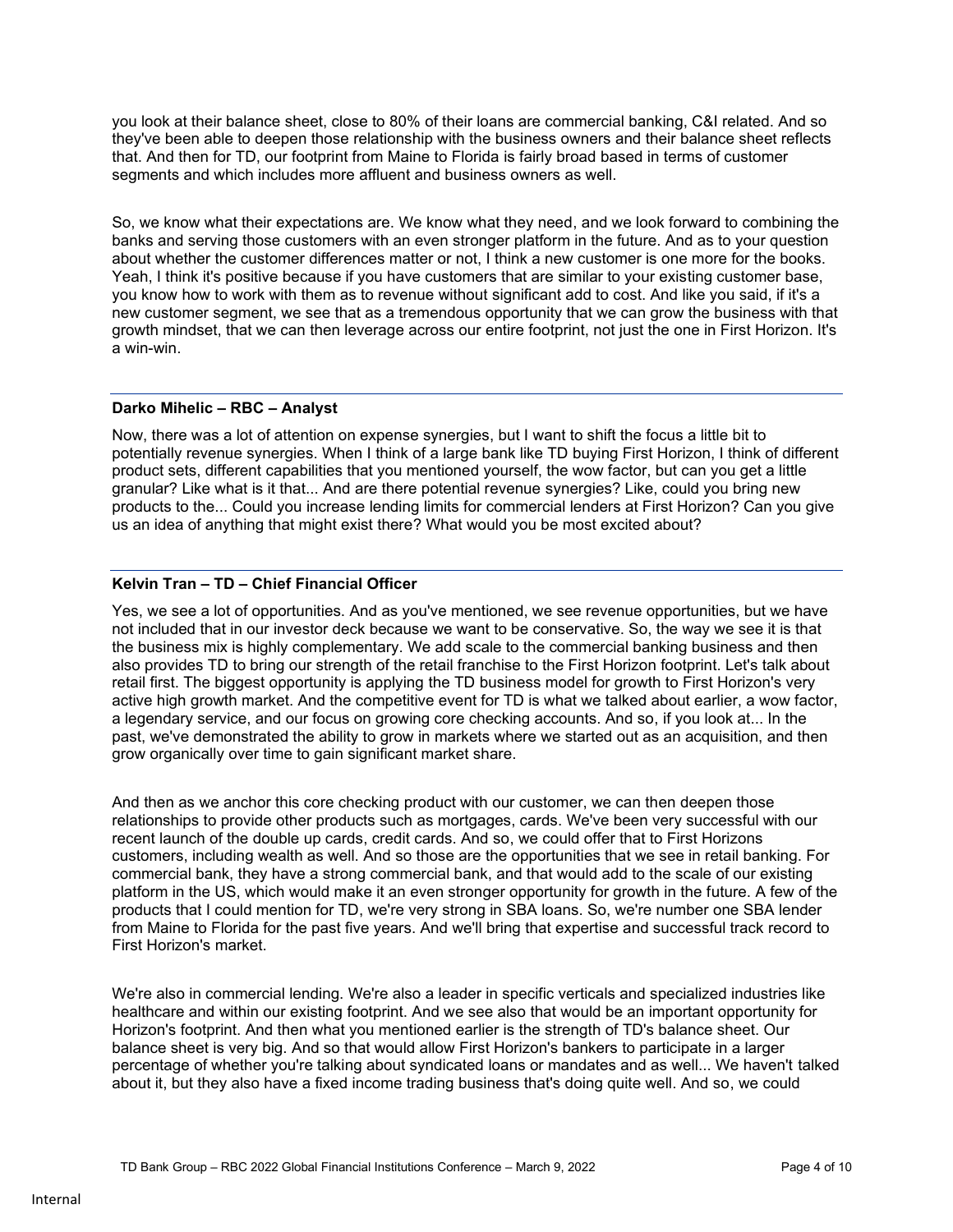you look at their balance sheet, close to 80% of their loans are commercial banking, C&I related. And so they've been able to deepen those relationship with the business owners and their balance sheet reflects that. And then for TD, our footprint from Maine to Florida is fairly broad based in terms of customer segments and which includes more affluent and business owners as well.

So, we know what their expectations are. We know what they need, and we look forward to combining the banks and serving those customers with an even stronger platform in the future. And as to your question about whether the customer differences matter or not, I think a new customer is one more for the books. Yeah, I think it's positive because if you have customers that are similar to your existing customer base, you know how to work with them as to revenue without significant add to cost. And like you said, if it's a new customer segment, we see that as a tremendous opportunity that we can grow the business with that growth mindset, that we can then leverage across our entire footprint, not just the one in First Horizon. It's a win-win.

# **Darko Mihelic – RBC – Analyst**

Now, there was a lot of attention on expense synergies, but I want to shift the focus a little bit to potentially revenue synergies. When I think of a large bank like TD buying First Horizon, I think of different product sets, different capabilities that you mentioned yourself, the wow factor, but can you get a little granular? Like what is it that... And are there potential revenue synergies? Like, could you bring new products to the... Could you increase lending limits for commercial lenders at First Horizon? Can you give us an idea of anything that might exist there? What would you be most excited about?

# **Kelvin Tran – TD – Chief Financial Officer**

Yes, we see a lot of opportunities. And as you've mentioned, we see revenue opportunities, but we have not included that in our investor deck because we want to be conservative. So, the way we see it is that the business mix is highly complementary. We add scale to the commercial banking business and then also provides TD to bring our strength of the retail franchise to the First Horizon footprint. Let's talk about retail first. The biggest opportunity is applying the TD business model for growth to First Horizon's very active high growth market. And the competitive event for TD is what we talked about earlier, a wow factor, a legendary service, and our focus on growing core checking accounts. And so, if you look at... In the past, we've demonstrated the ability to grow in markets where we started out as an acquisition, and then grow organically over time to gain significant market share.

And then as we anchor this core checking product with our customer, we can then deepen those relationships to provide other products such as mortgages, cards. We've been very successful with our recent launch of the double up cards, credit cards. And so, we could offer that to First Horizons customers, including wealth as well. And so those are the opportunities that we see in retail banking. For commercial bank, they have a strong commercial bank, and that would add to the scale of our existing platform in the US, which would make it an even stronger opportunity for growth in the future. A few of the products that I could mention for TD, we're very strong in SBA loans. So, we're number one SBA lender from Maine to Florida for the past five years. And we'll bring that expertise and successful track record to First Horizon's market.

We're also in commercial lending. We're also a leader in specific verticals and specialized industries like healthcare and within our existing footprint. And we see also that would be an important opportunity for Horizon's footprint. And then what you mentioned earlier is the strength of TD's balance sheet. Our balance sheet is very big. And so that would allow First Horizon's bankers to participate in a larger percentage of whether you're talking about syndicated loans or mandates and as well... We haven't talked about it, but they also have a fixed income trading business that's doing quite well. And so, we could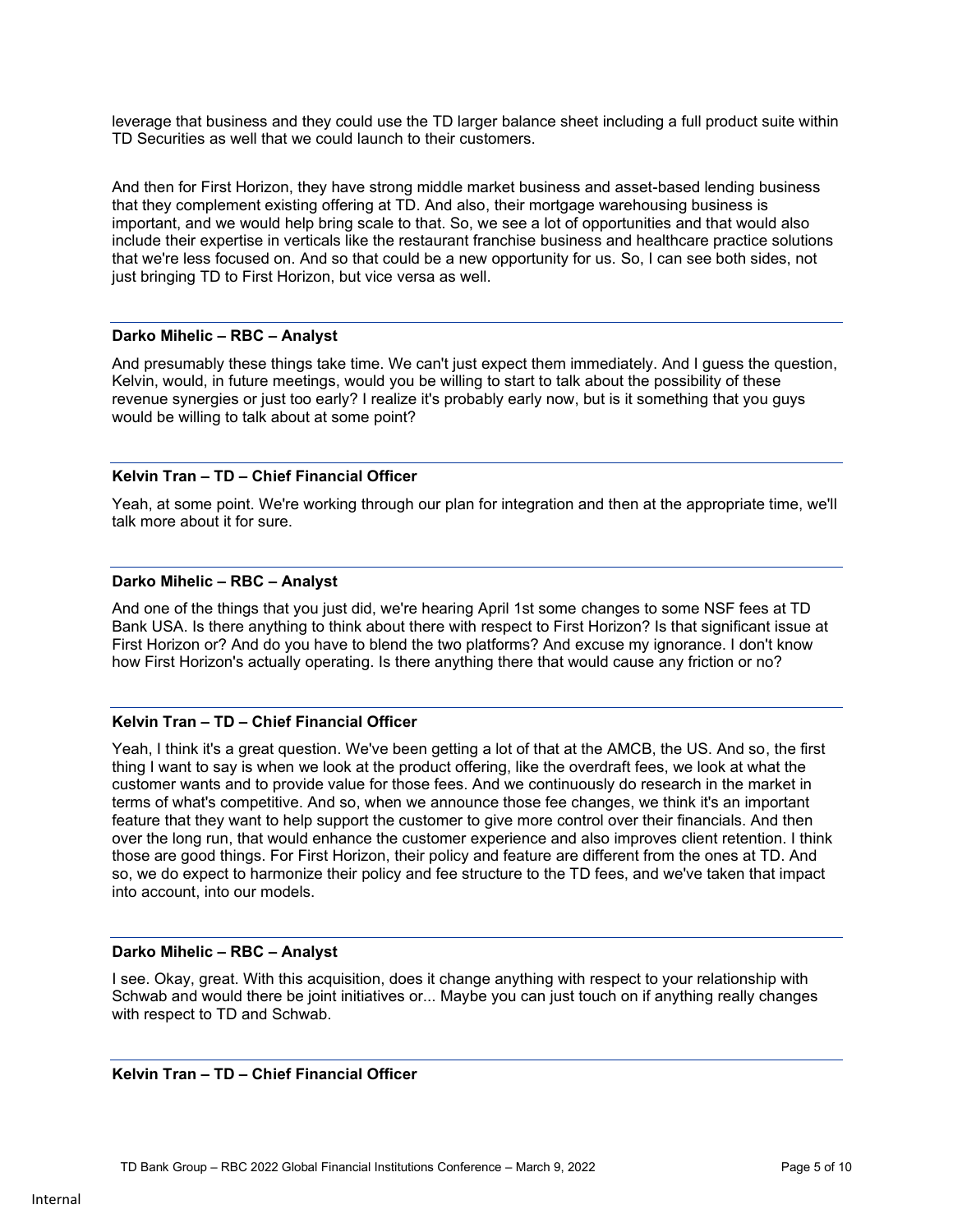leverage that business and they could use the TD larger balance sheet including a full product suite within TD Securities as well that we could launch to their customers.

And then for First Horizon, they have strong middle market business and asset-based lending business that they complement existing offering at TD. And also, their mortgage warehousing business is important, and we would help bring scale to that. So, we see a lot of opportunities and that would also include their expertise in verticals like the restaurant franchise business and healthcare practice solutions that we're less focused on. And so that could be a new opportunity for us. So, I can see both sides, not just bringing TD to First Horizon, but vice versa as well.

#### **Darko Mihelic – RBC – Analyst**

And presumably these things take time. We can't just expect them immediately. And I guess the question, Kelvin, would, in future meetings, would you be willing to start to talk about the possibility of these revenue synergies or just too early? I realize it's probably early now, but is it something that you guys would be willing to talk about at some point?

### **Kelvin Tran – TD – Chief Financial Officer**

Yeah, at some point. We're working through our plan for integration and then at the appropriate time, we'll talk more about it for sure.

### **Darko Mihelic – RBC – Analyst**

And one of the things that you just did, we're hearing April 1st some changes to some NSF fees at TD Bank USA. Is there anything to think about there with respect to First Horizon? Is that significant issue at First Horizon or? And do you have to blend the two platforms? And excuse my ignorance. I don't know how First Horizon's actually operating. Is there anything there that would cause any friction or no?

### **Kelvin Tran – TD – Chief Financial Officer**

Yeah, I think it's a great question. We've been getting a lot of that at the AMCB, the US. And so, the first thing I want to say is when we look at the product offering, like the overdraft fees, we look at what the customer wants and to provide value for those fees. And we continuously do research in the market in terms of what's competitive. And so, when we announce those fee changes, we think it's an important feature that they want to help support the customer to give more control over their financials. And then over the long run, that would enhance the customer experience and also improves client retention. I think those are good things. For First Horizon, their policy and feature are different from the ones at TD. And so, we do expect to harmonize their policy and fee structure to the TD fees, and we've taken that impact into account, into our models.

### **Darko Mihelic – RBC – Analyst**

I see. Okay, great. With this acquisition, does it change anything with respect to your relationship with Schwab and would there be joint initiatives or... Maybe you can just touch on if anything really changes with respect to TD and Schwab.

### **Kelvin Tran – TD – Chief Financial Officer**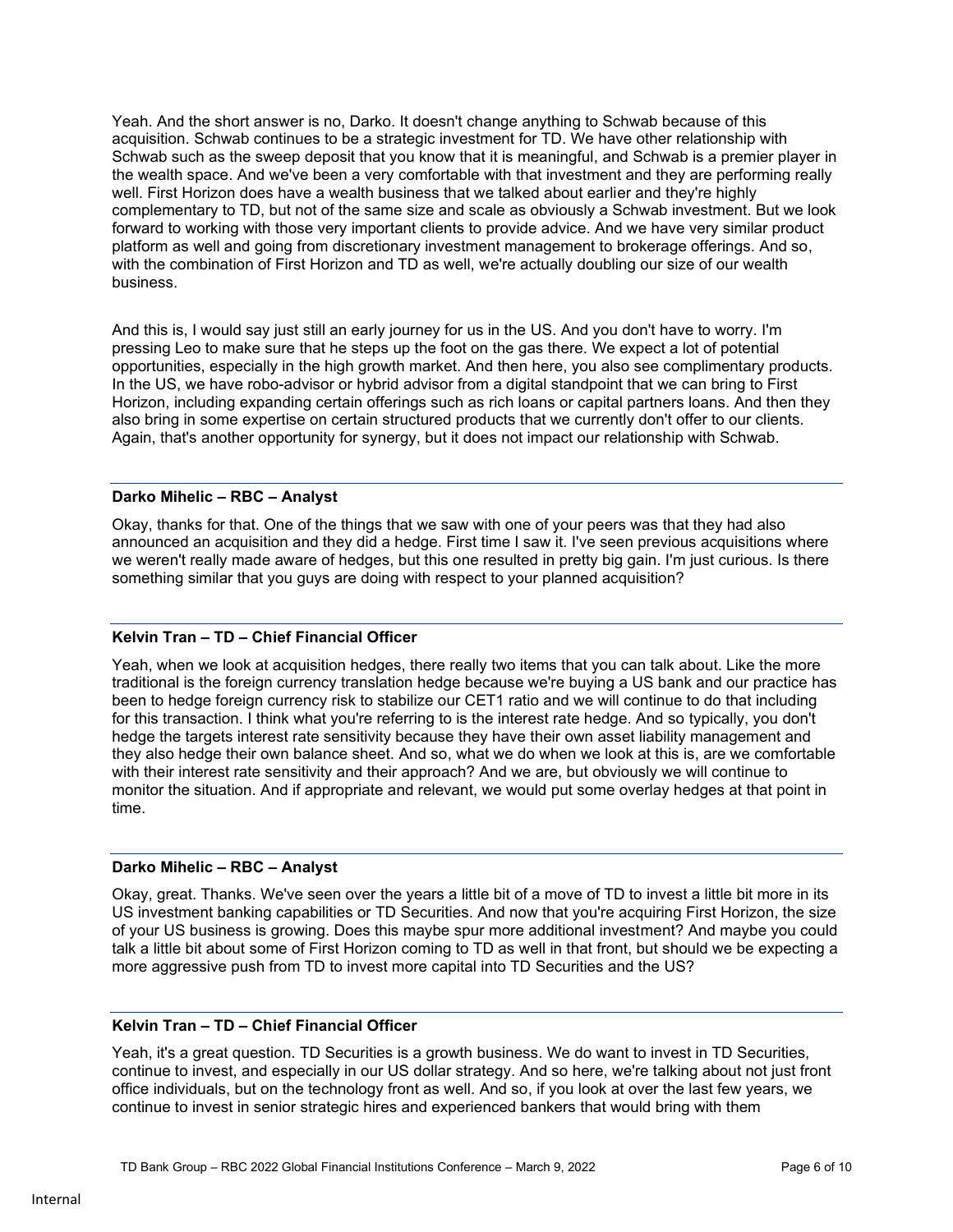Yeah. And the short answer is no, Darko. It doesn't change anything to Schwab because of this acquisition. Schwab continues to be a strategic investment for TD. We have other relationship with Schwab such as the sweep deposit that you know that it is meaningful, and Schwab is a premier player in the wealth space. And we've been a very comfortable with that investment and they are performing really well. First Horizon does have a wealth business that we talked about earlier and they're highly complementary to TD, but not of the same size and scale as obviously a Schwab investment. But we look forward to working with those very important clients to provide advice. And we have very similar product platform as well and going from discretionary investment management to brokerage offerings. And so, with the combination of First Horizon and TD as well, we're actually doubling our size of our wealth business.

And this is, I would say just still an early journey for us in the US. And you don't have to worry. I'm pressing Leo to make sure that he steps up the foot on the gas there. We expect a lot of potential opportunities, especially in the high growth market. And then here, you also see complimentary products. In the US, we have robo-advisor or hybrid advisor from a digital standpoint that we can bring to First Horizon, including expanding certain offerings such as rich loans or capital partners loans. And then they also bring in some expertise on certain structured products that we currently don't offer to our clients. Again, that's another opportunity for synergy, but it does not impact our relationship with Schwab.

### **Darko Mihelic – RBC – Analyst**

Okay, thanks for that. One of the things that we saw with one of your peers was that they had also announced an acquisition and they did a hedge. First time I saw it. I've seen previous acquisitions where we weren't really made aware of hedges, but this one resulted in pretty big gain. I'm just curious. Is there something similar that you guys are doing with respect to your planned acquisition?

# **Kelvin Tran – TD – Chief Financial Officer**

Yeah, when we look at acquisition hedges, there really two items that you can talk about. Like the more traditional is the foreign currency translation hedge because we're buying a US bank and our practice has been to hedge foreign currency risk to stabilize our CET1 ratio and we will continue to do that including for this transaction. I think what you're referring to is the interest rate hedge. And so typically, you don't hedge the targets interest rate sensitivity because they have their own asset liability management and they also hedge their own balance sheet. And so, what we do when we look at this is, are we comfortable with their interest rate sensitivity and their approach? And we are, but obviously we will continue to monitor the situation. And if appropriate and relevant, we would put some overlay hedges at that point in time.

### **Darko Mihelic – RBC – Analyst**

Okay, great. Thanks. We've seen over the years a little bit of a move of TD to invest a little bit more in its US investment banking capabilities or TD Securities. And now that you're acquiring First Horizon, the size of your US business is growing. Does this maybe spur more additional investment? And maybe you could talk a little bit about some of First Horizon coming to TD as well in that front, but should we be expecting a more aggressive push from TD to invest more capital into TD Securities and the US?

### **Kelvin Tran – TD – Chief Financial Officer**

Yeah, it's a great question. TD Securities is a growth business. We do want to invest in TD Securities, continue to invest, and especially in our US dollar strategy. And so here, we're talking about not just front office individuals, but on the technology front as well. And so, if you look at over the last few years, we continue to invest in senior strategic hires and experienced bankers that would bring with them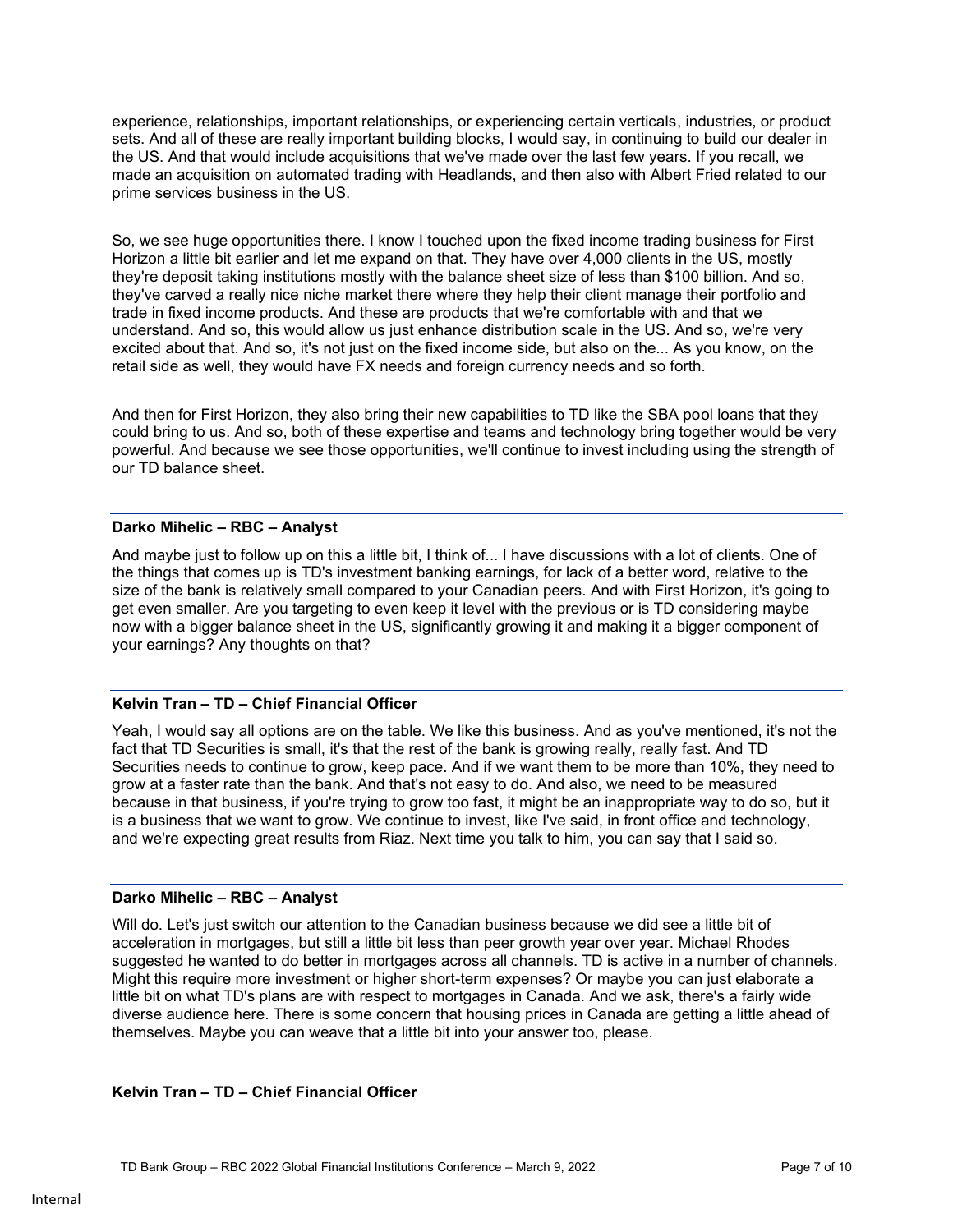experience, relationships, important relationships, or experiencing certain verticals, industries, or product sets. And all of these are really important building blocks, I would say, in continuing to build our dealer in the US. And that would include acquisitions that we've made over the last few years. If you recall, we made an acquisition on automated trading with Headlands, and then also with Albert Fried related to our prime services business in the US.

So, we see huge opportunities there. I know I touched upon the fixed income trading business for First Horizon a little bit earlier and let me expand on that. They have over 4,000 clients in the US, mostly they're deposit taking institutions mostly with the balance sheet size of less than \$100 billion. And so, they've carved a really nice niche market there where they help their client manage their portfolio and trade in fixed income products. And these are products that we're comfortable with and that we understand. And so, this would allow us just enhance distribution scale in the US. And so, we're very excited about that. And so, it's not just on the fixed income side, but also on the... As you know, on the retail side as well, they would have FX needs and foreign currency needs and so forth.

And then for First Horizon, they also bring their new capabilities to TD like the SBA pool loans that they could bring to us. And so, both of these expertise and teams and technology bring together would be very powerful. And because we see those opportunities, we'll continue to invest including using the strength of our TD balance sheet.

# **Darko Mihelic – RBC – Analyst**

And maybe just to follow up on this a little bit, I think of... I have discussions with a lot of clients. One of the things that comes up is TD's investment banking earnings, for lack of a better word, relative to the size of the bank is relatively small compared to your Canadian peers. And with First Horizon, it's going to get even smaller. Are you targeting to even keep it level with the previous or is TD considering maybe now with a bigger balance sheet in the US, significantly growing it and making it a bigger component of your earnings? Any thoughts on that?

### **Kelvin Tran – TD – Chief Financial Officer**

Yeah, I would say all options are on the table. We like this business. And as you've mentioned, it's not the fact that TD Securities is small, it's that the rest of the bank is growing really, really fast. And TD Securities needs to continue to grow, keep pace. And if we want them to be more than 10%, they need to grow at a faster rate than the bank. And that's not easy to do. And also, we need to be measured because in that business, if you're trying to grow too fast, it might be an inappropriate way to do so, but it is a business that we want to grow. We continue to invest, like I've said, in front office and technology, and we're expecting great results from Riaz. Next time you talk to him, you can say that I said so.

# **Darko Mihelic – RBC – Analyst**

Will do. Let's just switch our attention to the Canadian business because we did see a little bit of acceleration in mortgages, but still a little bit less than peer growth year over year. Michael Rhodes suggested he wanted to do better in mortgages across all channels. TD is active in a number of channels. Might this require more investment or higher short-term expenses? Or maybe you can just elaborate a little bit on what TD's plans are with respect to mortgages in Canada. And we ask, there's a fairly wide diverse audience here. There is some concern that housing prices in Canada are getting a little ahead of themselves. Maybe you can weave that a little bit into your answer too, please.

### **Kelvin Tran – TD – Chief Financial Officer**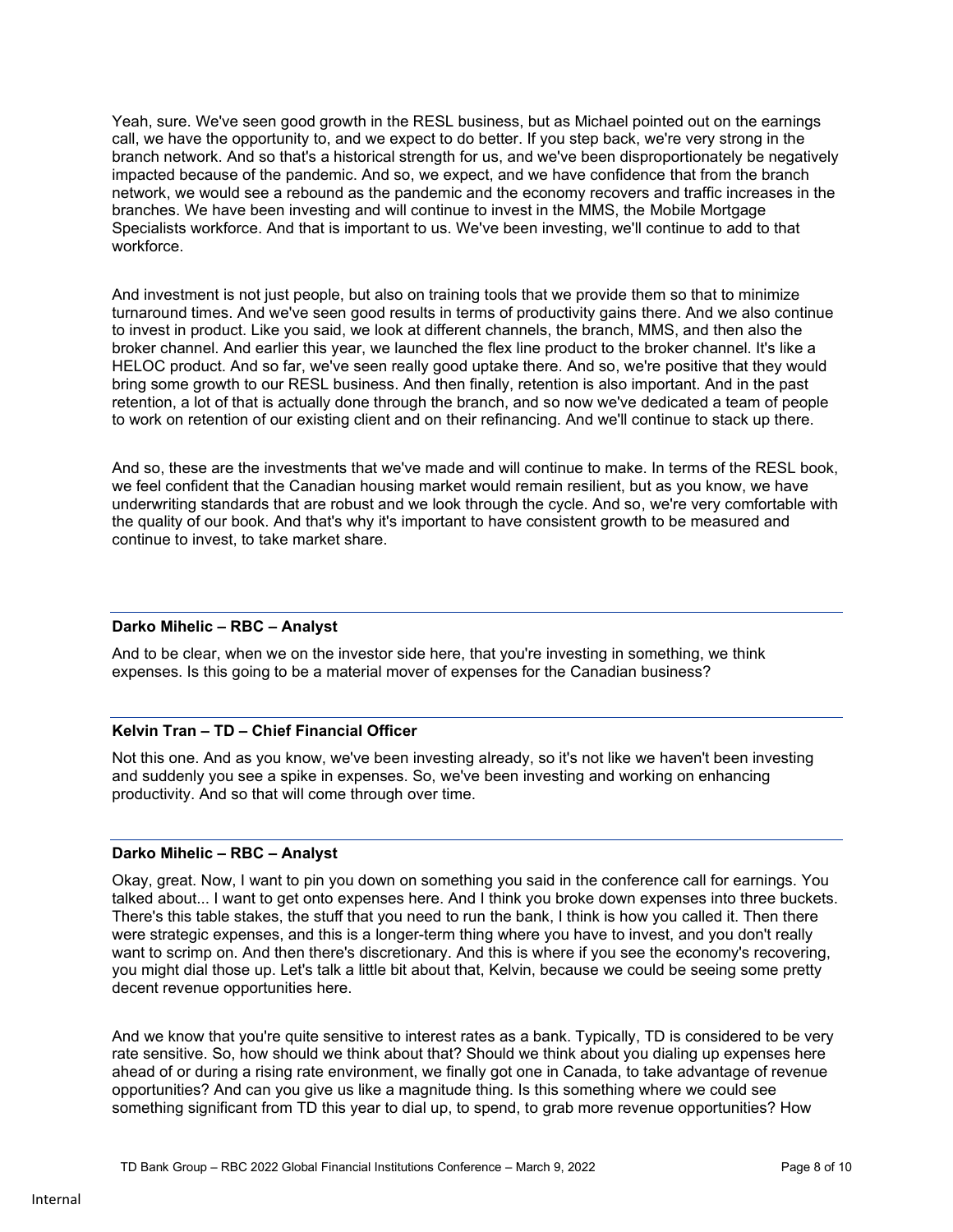Yeah, sure. We've seen good growth in the RESL business, but as Michael pointed out on the earnings call, we have the opportunity to, and we expect to do better. If you step back, we're very strong in the branch network. And so that's a historical strength for us, and we've been disproportionately be negatively impacted because of the pandemic. And so, we expect, and we have confidence that from the branch network, we would see a rebound as the pandemic and the economy recovers and traffic increases in the branches. We have been investing and will continue to invest in the MMS, the Mobile Mortgage Specialists workforce. And that is important to us. We've been investing, we'll continue to add to that workforce.

And investment is not just people, but also on training tools that we provide them so that to minimize turnaround times. And we've seen good results in terms of productivity gains there. And we also continue to invest in product. Like you said, we look at different channels, the branch, MMS, and then also the broker channel. And earlier this year, we launched the flex line product to the broker channel. It's like a HELOC product. And so far, we've seen really good uptake there. And so, we're positive that they would bring some growth to our RESL business. And then finally, retention is also important. And in the past retention, a lot of that is actually done through the branch, and so now we've dedicated a team of people to work on retention of our existing client and on their refinancing. And we'll continue to stack up there.

And so, these are the investments that we've made and will continue to make. In terms of the RESL book, we feel confident that the Canadian housing market would remain resilient, but as you know, we have underwriting standards that are robust and we look through the cycle. And so, we're very comfortable with the quality of our book. And that's why it's important to have consistent growth to be measured and continue to invest, to take market share.

### **Darko Mihelic – RBC – Analyst**

And to be clear, when we on the investor side here, that you're investing in something, we think expenses. Is this going to be a material mover of expenses for the Canadian business?

# **Kelvin Tran – TD – Chief Financial Officer**

Not this one. And as you know, we've been investing already, so it's not like we haven't been investing and suddenly you see a spike in expenses. So, we've been investing and working on enhancing productivity. And so that will come through over time.

# **Darko Mihelic – RBC – Analyst**

Okay, great. Now, I want to pin you down on something you said in the conference call for earnings. You talked about... I want to get onto expenses here. And I think you broke down expenses into three buckets. There's this table stakes, the stuff that you need to run the bank, I think is how you called it. Then there were strategic expenses, and this is a longer-term thing where you have to invest, and you don't really want to scrimp on. And then there's discretionary. And this is where if you see the economy's recovering, you might dial those up. Let's talk a little bit about that, Kelvin, because we could be seeing some pretty decent revenue opportunities here.

And we know that you're quite sensitive to interest rates as a bank. Typically, TD is considered to be very rate sensitive. So, how should we think about that? Should we think about you dialing up expenses here ahead of or during a rising rate environment, we finally got one in Canada, to take advantage of revenue opportunities? And can you give us like a magnitude thing. Is this something where we could see something significant from TD this year to dial up, to spend, to grab more revenue opportunities? How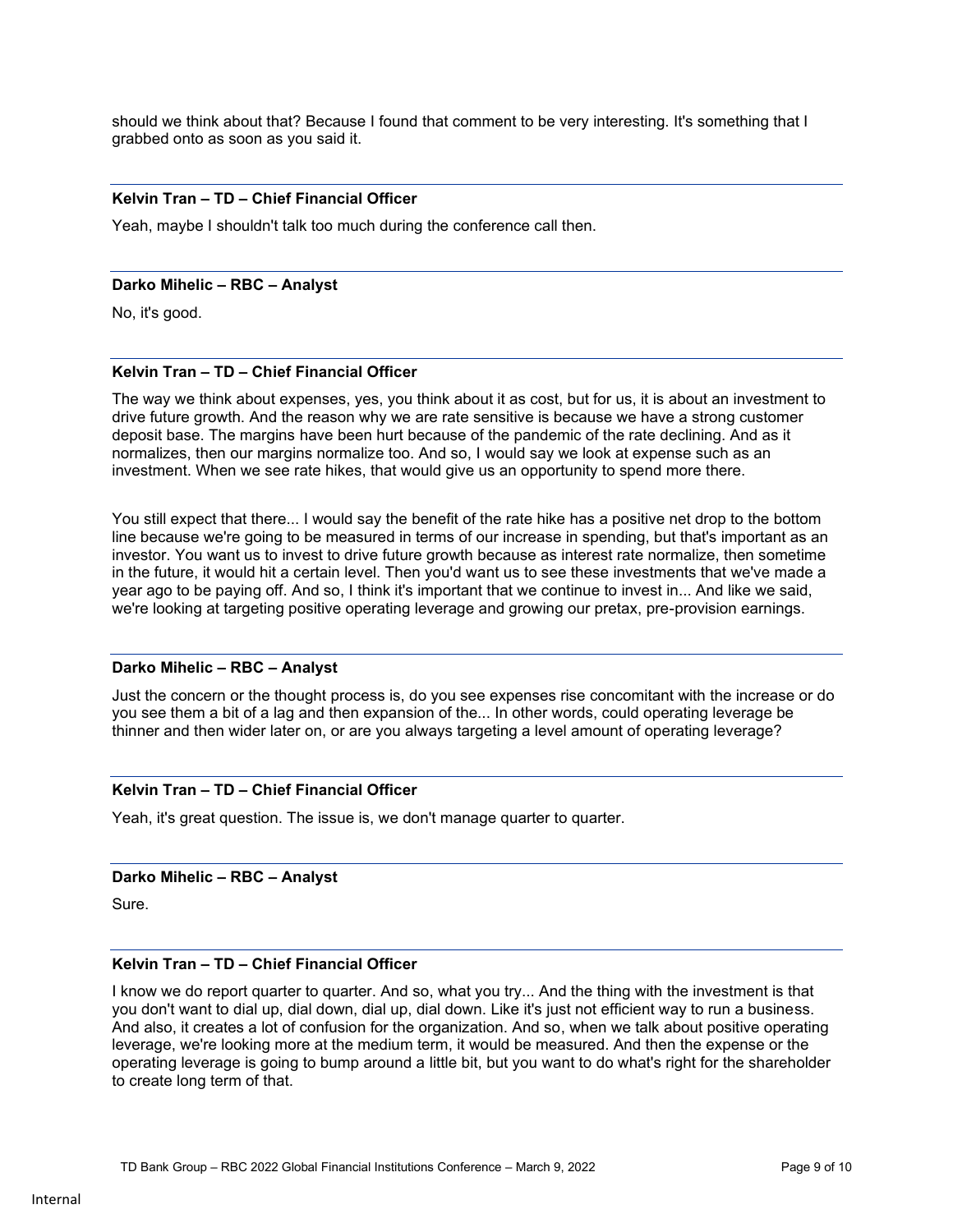should we think about that? Because I found that comment to be very interesting. It's something that I grabbed onto as soon as you said it.

#### **Kelvin Tran – TD – Chief Financial Officer**

Yeah, maybe I shouldn't talk too much during the conference call then.

#### **Darko Mihelic – RBC – Analyst**

No, it's good.

### **Kelvin Tran – TD – Chief Financial Officer**

The way we think about expenses, yes, you think about it as cost, but for us, it is about an investment to drive future growth. And the reason why we are rate sensitive is because we have a strong customer deposit base. The margins have been hurt because of the pandemic of the rate declining. And as it normalizes, then our margins normalize too. And so, I would say we look at expense such as an investment. When we see rate hikes, that would give us an opportunity to spend more there.

You still expect that there... I would say the benefit of the rate hike has a positive net drop to the bottom line because we're going to be measured in terms of our increase in spending, but that's important as an investor. You want us to invest to drive future growth because as interest rate normalize, then sometime in the future, it would hit a certain level. Then you'd want us to see these investments that we've made a year ago to be paying off. And so, I think it's important that we continue to invest in... And like we said, we're looking at targeting positive operating leverage and growing our pretax, pre-provision earnings.

#### **Darko Mihelic – RBC – Analyst**

Just the concern or the thought process is, do you see expenses rise concomitant with the increase or do you see them a bit of a lag and then expansion of the... In other words, could operating leverage be thinner and then wider later on, or are you always targeting a level amount of operating leverage?

### **Kelvin Tran – TD – Chief Financial Officer**

Yeah, it's great question. The issue is, we don't manage quarter to quarter.

### **Darko Mihelic – RBC – Analyst**

Sure.

### **Kelvin Tran – TD – Chief Financial Officer**

I know we do report quarter to quarter. And so, what you try... And the thing with the investment is that you don't want to dial up, dial down, dial up, dial down. Like it's just not efficient way to run a business. And also, it creates a lot of confusion for the organization. And so, when we talk about positive operating leverage, we're looking more at the medium term, it would be measured. And then the expense or the operating leverage is going to bump around a little bit, but you want to do what's right for the shareholder to create long term of that.